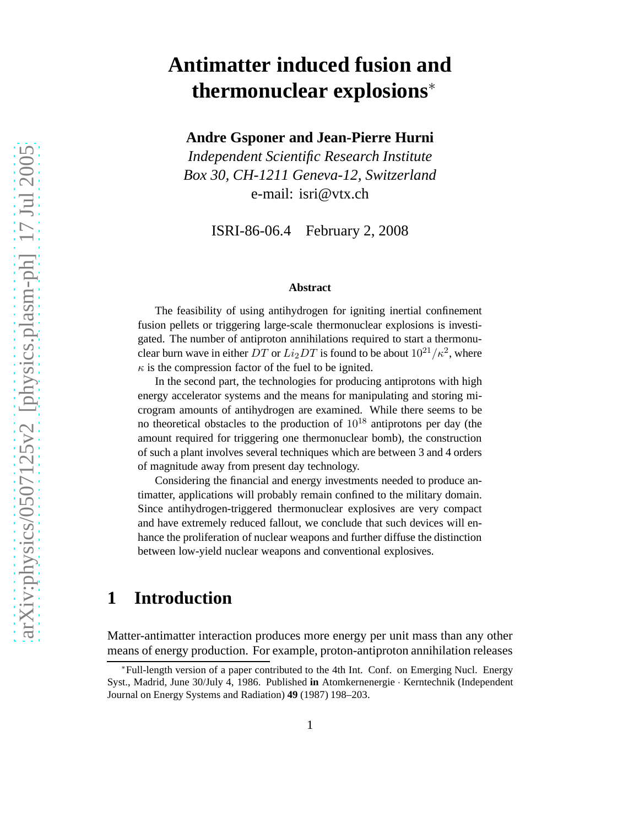# **Antimatter induced fusion and thermonuclear explosions**<sup>∗</sup>

**Andre Gsponer and Jean-Pierre Hurni**

*Independent Scientific Research Institute Box 30, CH-1211 Geneva-12, Switzerland* e-mail: isri@vtx.ch

ISRI-86-06.4 February 2, 2008

#### **Abstract**

The feasibility of using antihydrogen for igniting inertial confinement fusion pellets or triggering large-scale thermonuclear explosions is investigated. The number of antiproton annihilations required to start a thermonuclear burn wave in either  $DT$  or  $Li_2DT$  is found to be about  $10^{21}/\kappa^2$ , where  $\kappa$  is the compression factor of the fuel to be ignited.

In the second part, the technologies for producing antiprotons with high energy accelerator systems and the means for manipulating and storing microgram amounts of antihydrogen are examined. While there seems to be no theoretical obstacles to the production of  $10^{18}$  antiprotons per day (the amount required for triggering one thermonuclear bomb), the construction of such a plant involves several techniques which are between 3 and 4 orders of magnitude away from present day technology.

Considering the financial and energy investments needed to produce antimatter, applications will probably remain confined to the military domain. Since antihydrogen-triggered thermonuclear explosives are very compact and have extremely reduced fallout, we conclude that such devices will enhance the proliferation of nuclear weapons and further diffuse the distinction between low-yield nuclear weapons and conventional explosives.

# **1 Introduction**

Matter-antimatter interaction produces more energy per unit mass than any other means of energy production. For example, proton-antiproton annihilation releases

<sup>∗</sup>Full-length version of a paper contributed to the 4th Int. Conf. on Emerging Nucl. Energy Syst., Madrid, June 30/July 4, 1986. Published **in** Atomkernenergie · Kerntechnik (Independent Journal on Energy Systems and Radiation) **49** (1987) 198–203.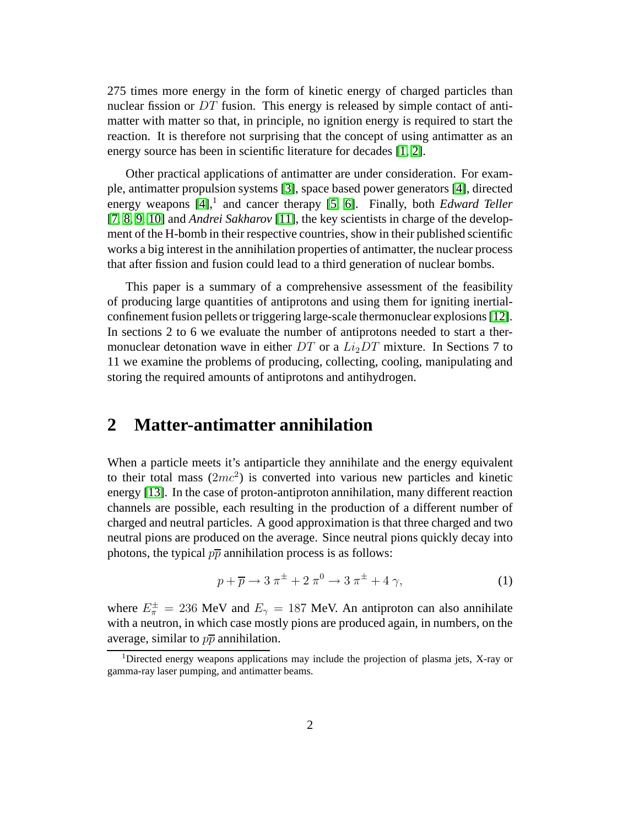275 times more energy in the form of kinetic energy of charged particles than nuclear fission or  $DT$  fusion. This energy is released by simple contact of antimatter with matter so that, in principle, no ignition energy is required to start the reaction. It is therefore not surprising that the concept of using antimatter as an energy source has been in scientific literature for decades [\[1,](#page-16-0) [2\]](#page-16-1).

Other practical applications of antimatter are under consideration. For example, antimatter propulsion systems [\[3\]](#page-16-2), space based power generators [\[4\]](#page-16-3), directed energy weapons [\[4\]](#page-16-3),<sup>1</sup> and cancer therapy [\[5,](#page-16-4) [6\]](#page-16-5). Finally, both *Edward Teller* [\[7,](#page-16-6) [8,](#page-16-7) [9,](#page-16-8) [10\]](#page-17-0) and *Andrei Sakharov* [\[11\]](#page-17-1), the key scientists in charge of the development of the H-bomb in their respective countries, show in their published scientific works a big interest in the annihilation properties of antimatter, the nuclear process that after fission and fusion could lead to a third generation of nuclear bombs.

This paper is a summary of a comprehensive assessment of the feasibility of producing large quantities of antiprotons and using them for igniting inertialconfinement fusion pellets or triggering large-scale thermonuclear explosions [\[12\]](#page-17-2). In sections 2 to 6 we evaluate the number of antiprotons needed to start a thermonuclear detonation wave in either DT or a  $Li<sub>2</sub>DT$  mixture. In Sections 7 to 11 we examine the problems of producing, collecting, cooling, manipulating and storing the required amounts of antiprotons and antihydrogen.

#### **2 Matter-antimatter annihilation**

When a particle meets it's antiparticle they annihilate and the energy equivalent to their total mass  $(2mc^2)$  is converted into various new particles and kinetic energy [\[13\]](#page-17-3). In the case of proton-antiproton annihilation, many different reaction channels are possible, each resulting in the production of a different number of charged and neutral particles. A good approximation is that three charged and two neutral pions are produced on the average. Since neutral pions quickly decay into photons, the typical  $p\bar{p}$  annihilation process is as follows:

$$
p + \overline{p} \to 3 \pi^{\pm} + 2 \pi^0 \to 3 \pi^{\pm} + 4 \gamma,
$$
 (1)

where  $E_{\pi}^{\pm} = 236$  MeV and  $E_{\gamma} = 187$  MeV. An antiproton can also annihilate with a neutron, in which case mostly pions are produced again, in numbers, on the average, similar to  $p\overline{p}$  annihilation.

<sup>1</sup>Directed energy weapons applications may include the projection of plasma jets, X-ray or gamma-ray laser pumping, and antimatter beams.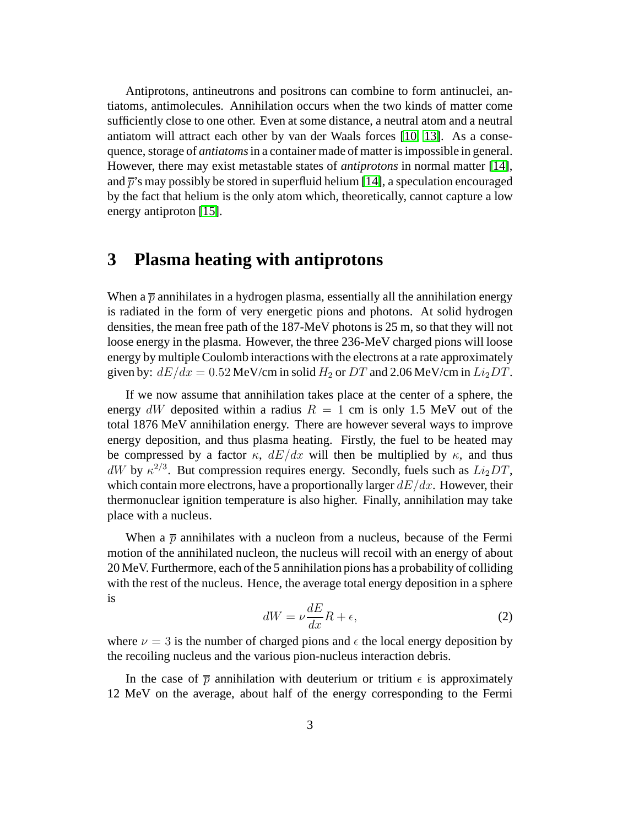Antiprotons, antineutrons and positrons can combine to form antinuclei, antiatoms, antimolecules. Annihilation occurs when the two kinds of matter come sufficiently close to one other. Even at some distance, a neutral atom and a neutral antiatom will attract each other by van der Waals forces [\[10,](#page-17-0) [13\]](#page-17-3). As a consequence, storage of *antiatoms*in a container made of matter is impossible in general. However, there may exist metastable states of *antiprotons* in normal matter [\[14\]](#page-17-4), and  $\bar{p}$ 's may possibly be stored in superfluid helium [\[14\]](#page-17-4), a speculation encouraged by the fact that helium is the only atom which, theoretically, cannot capture a low energy antiproton [\[15\]](#page-17-5).

### **3 Plasma heating with antiprotons**

When a  $\bar{p}$  annihilates in a hydrogen plasma, essentially all the annihilation energy is radiated in the form of very energetic pions and photons. At solid hydrogen densities, the mean free path of the 187-MeV photons is 25 m, so that they will not loose energy in the plasma. However, the three 236-MeV charged pions will loose energy by multiple Coulomb interactions with the electrons at a rate approximately given by:  $dE/dx = 0.52$  MeV/cm in solid  $H_2$  or DT and 2.06 MeV/cm in  $Li_2DT$ .

If we now assume that annihilation takes place at the center of a sphere, the energy dW deposited within a radius  $R = 1$  cm is only 1.5 MeV out of the total 1876 MeV annihilation energy. There are however several ways to improve energy deposition, and thus plasma heating. Firstly, the fuel to be heated may be compressed by a factor  $\kappa$ ,  $dE/dx$  will then be multiplied by  $\kappa$ , and thus dW by  $\kappa^{2/3}$ . But compression requires energy. Secondly, fuels such as  $Li_2DT$ , which contain more electrons, have a proportionally larger  $dE/dx$ . However, their thermonuclear ignition temperature is also higher. Finally, annihilation may take place with a nucleus.

<span id="page-2-0"></span>When a  $\bar{p}$  annihilates with a nucleon from a nucleus, because of the Fermi motion of the annihilated nucleon, the nucleus will recoil with an energy of about 20 MeV. Furthermore, each of the 5 annihilation pions has a probability of colliding with the rest of the nucleus. Hence, the average total energy deposition in a sphere is

$$
dW = \nu \frac{dE}{dx} R + \epsilon,\tag{2}
$$

where  $\nu = 3$  is the number of charged pions and  $\epsilon$  the local energy deposition by the recoiling nucleus and the various pion-nucleus interaction debris.

In the case of  $\bar{p}$  annihilation with deuterium or tritium  $\epsilon$  is approximately 12 MeV on the average, about half of the energy corresponding to the Fermi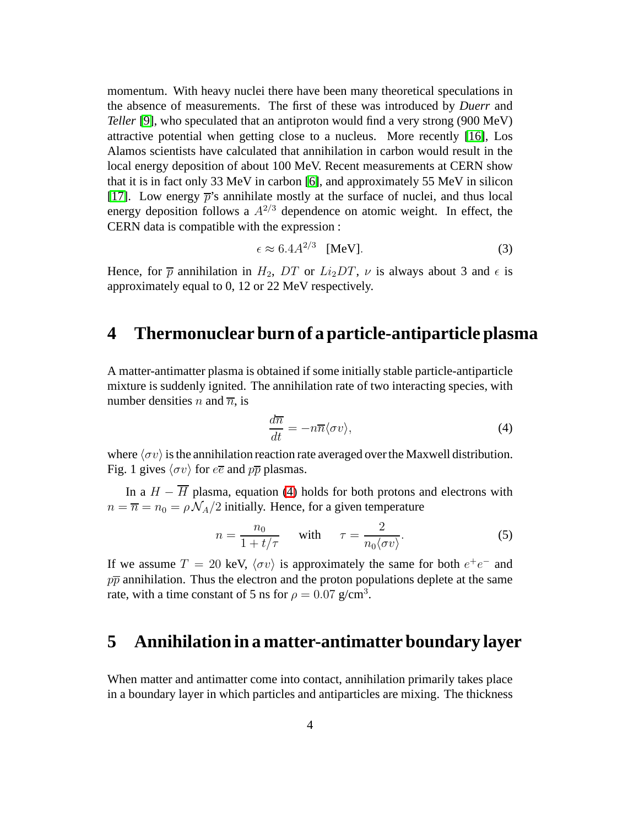momentum. With heavy nuclei there have been many theoretical speculations in the absence of measurements. The first of these was introduced by *Duerr* and *Teller* [\[9\]](#page-16-8), who speculated that an antiproton would find a very strong (900 MeV) attractive potential when getting close to a nucleus. More recently [\[16\]](#page-17-6), Los Alamos scientists have calculated that annihilation in carbon would result in the local energy deposition of about 100 MeV. Recent measurements at CERN show that it is in fact only 33 MeV in carbon [\[6\]](#page-16-5), and approximately 55 MeV in silicon [\[17\]](#page-17-7). Low energy  $\bar{p}$ 's annihilate mostly at the surface of nuclei, and thus local energy deposition follows a  $A^{2/3}$  dependence on atomic weight. In effect, the CERN data is compatible with the expression :

$$
\epsilon \approx 6.4 A^{2/3} \quad \text{[MeV]}.
$$

Hence, for  $\bar{p}$  annihilation in  $H_2$ , DT or  $Li_2DT$ ,  $\nu$  is always about 3 and  $\epsilon$  is approximately equal to 0, 12 or 22 MeV respectively.

### **4 Thermonuclear burn of a particle-antiparticle plasma**

<span id="page-3-0"></span>A matter-antimatter plasma is obtained if some initially stable particle-antiparticle mixture is suddenly ignited. The annihilation rate of two interacting species, with number densities *n* and  $\overline{n}$ , is

$$
\frac{d\overline{n}}{dt} = -n\overline{n}\langle\sigma v\rangle,\tag{4}
$$

where  $\langle \sigma v \rangle$  is the annihilation reaction rate averaged over the Maxwell distribution. Fig. 1 gives  $\langle \sigma v \rangle$  for  $e\overline{e}$  and  $p\overline{p}$  plasmas.

In a  $H - \overline{H}$  plasma, equation [\(4\)](#page-3-0) holds for both protons and electrons with  $n = \overline{n} = n_0 = \rho \mathcal{N}_A/2$  initially. Hence, for a given temperature

$$
n = \frac{n_0}{1 + t/\tau} \quad \text{with} \quad \tau = \frac{2}{n_0 \langle \sigma v \rangle}.
$$
 (5)

If we assume  $T = 20$  keV,  $\langle \sigma v \rangle$  is approximately the same for both  $e^+e^-$  and  $p\overline{p}$  annihilation. Thus the electron and the proton populations deplete at the same rate, with a time constant of 5 ns for  $\rho = 0.07$  g/cm<sup>3</sup>.

### **5 Annihilation in a matter-antimatter boundary layer**

When matter and antimatter come into contact, annihilation primarily takes place in a boundary layer in which particles and antiparticles are mixing. The thickness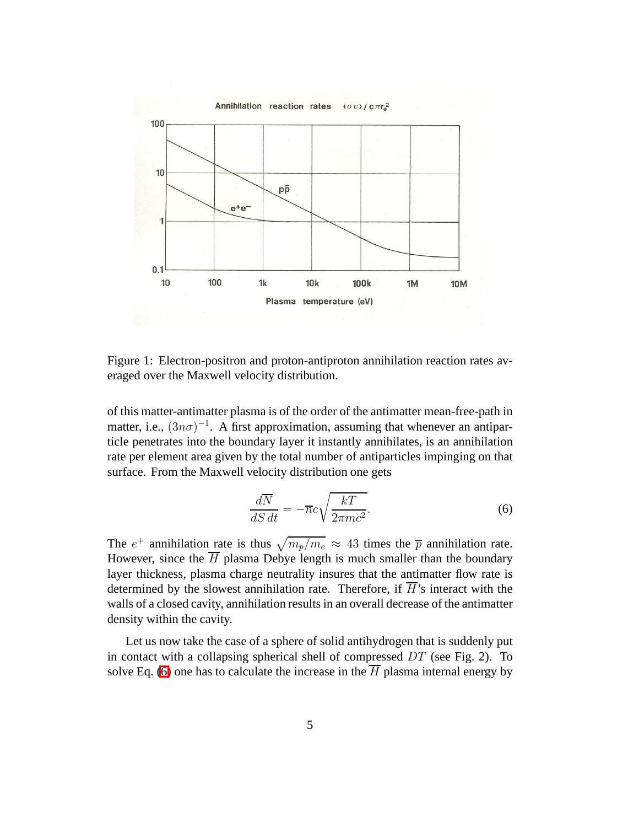

Figure 1: Electron-positron and proton-antiproton annihilation reaction rates averaged over the Maxwell velocity distribution.

of this matter-antimatter plasma is of the order of the antimatter mean-free-path in matter, i.e.,  $(3n\sigma)^{-1}$ . A first approximation, assuming that whenever an antiparticle penetrates into the boundary layer it instantly annihilates, is an annihilation rate per element area given by the total number of antiparticles impinging on that surface. From the Maxwell velocity distribution one gets

<span id="page-4-0"></span>
$$
\frac{d\overline{N}}{dS dt} = -\overline{n}c\sqrt{\frac{kT}{2\pi mc^2}}.\tag{6}
$$

The  $e^+$  annihilation rate is thus  $\sqrt{m_p/m_e} \approx 43$  times the  $\bar{p}$  annihilation rate. However, since the  $\overline{H}$  plasma Debye length is much smaller than the boundary layer thickness, plasma charge neutrality insures that the antimatter flow rate is determined by the slowest annihilation rate. Therefore, if  $\overline{H}$ 's interact with the walls of a closed cavity, annihilation results in an overall decrease of the antimatter density within the cavity.

Let us now take the case of a sphere of solid antihydrogen that is suddenly put in contact with a collapsing spherical shell of compressed  $DT$  (see Fig. 2). To solve Eq. [\(6\)](#page-4-0) one has to calculate the increase in the  $\overline{H}$  plasma internal energy by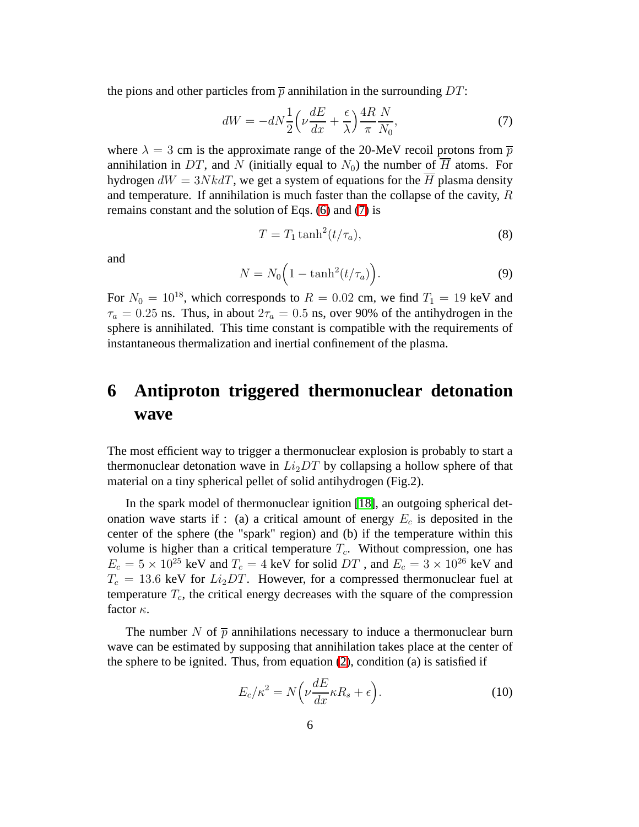the pions and other particles from  $\bar{p}$  annihilation in the surrounding DT:

<span id="page-5-0"></span>
$$
dW = -dN\frac{1}{2}\left(\nu\frac{dE}{dx} + \frac{\epsilon}{\lambda}\right)\frac{4R}{\pi}\frac{N}{N_0},\tag{7}
$$

where  $\lambda = 3$  cm is the approximate range of the 20-MeV recoil protons from  $\bar{p}$ annihilation in DT, and N (initially equal to  $N_0$ ) the number of  $\overline{H}$  atoms. For hydrogen  $dW = 3Nk dT$ , we get a system of equations for the  $\overline{H}$  plasma density and temperature. If annihilation is much faster than the collapse of the cavity,  $R$ remains constant and the solution of Eqs. [\(6\)](#page-4-0) and [\(7\)](#page-5-0) is

$$
T = T_1 \tanh^2(t/\tau_a),\tag{8}
$$

and

$$
N = N_0 \left( 1 - \tanh^2(t/\tau_a) \right). \tag{9}
$$

For  $N_0 = 10^{18}$ , which corresponds to  $R = 0.02$  cm, we find  $T_1 = 19$  keV and  $\tau_a = 0.25$  ns. Thus, in about  $2\tau_a = 0.5$  ns, over 90% of the antihydrogen in the sphere is annihilated. This time constant is compatible with the requirements of instantaneous thermalization and inertial confinement of the plasma.

# **6 Antiproton triggered thermonuclear detonation wave**

The most efficient way to trigger a thermonuclear explosion is probably to start a thermonuclear detonation wave in  $Li<sub>2</sub>DT$  by collapsing a hollow sphere of that material on a tiny spherical pellet of solid antihydrogen (Fig.2).

In the spark model of thermonuclear ignition [\[18\]](#page-17-8), an outgoing spherical detonation wave starts if : (a) a critical amount of energy  $E_c$  is deposited in the center of the sphere (the "spark" region) and (b) if the temperature within this volume is higher than a critical temperature  $T_c$ . Without compression, one has  $E_c = 5 \times 10^{25}$  keV and  $T_c = 4$  keV for solid  $DT$ , and  $E_c = 3 \times 10^{26}$  keV and  $T_c = 13.6$  keV for  $Li_2DT$ . However, for a compressed thermonuclear fuel at temperature  $T_c$ , the critical energy decreases with the square of the compression factor  $\kappa$ .

The number N of  $\bar{p}$  annihilations necessary to induce a thermonuclear burn wave can be estimated by supposing that annihilation takes place at the center of the sphere to be ignited. Thus, from equation [\(2\)](#page-2-0), condition (a) is satisfied if

<span id="page-5-1"></span>
$$
E_c/\kappa^2 = N\left(\nu \frac{dE}{dx}\kappa R_s + \epsilon\right). \tag{10}
$$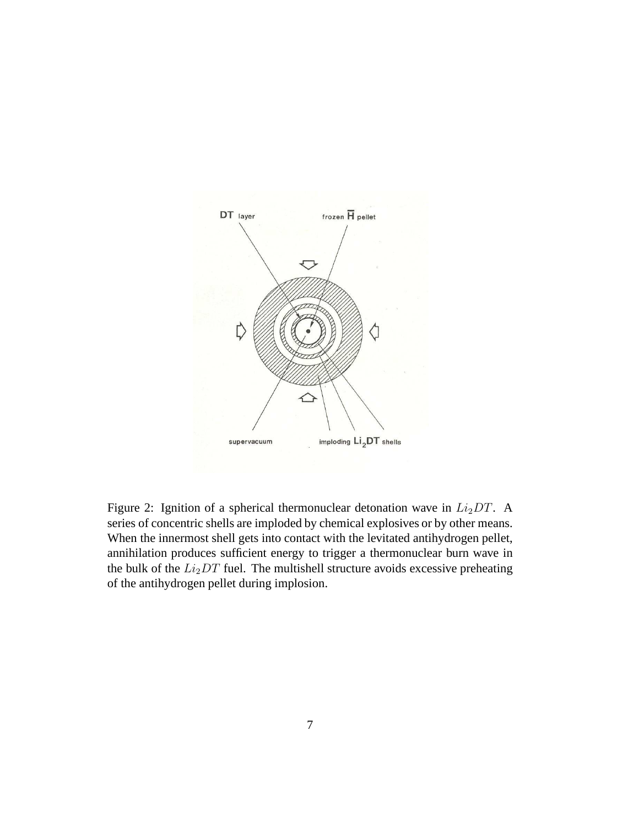

Figure 2: Ignition of a spherical thermonuclear detonation wave in  $Li<sub>2</sub>DT$ . A series of concentric shells are imploded by chemical explosives or by other means. When the innermost shell gets into contact with the levitated antihydrogen pellet, annihilation produces sufficient energy to trigger a thermonuclear burn wave in the bulk of the  $Li_2DT$  fuel. The multishell structure avoids excessive preheating of the antihydrogen pellet during implosion.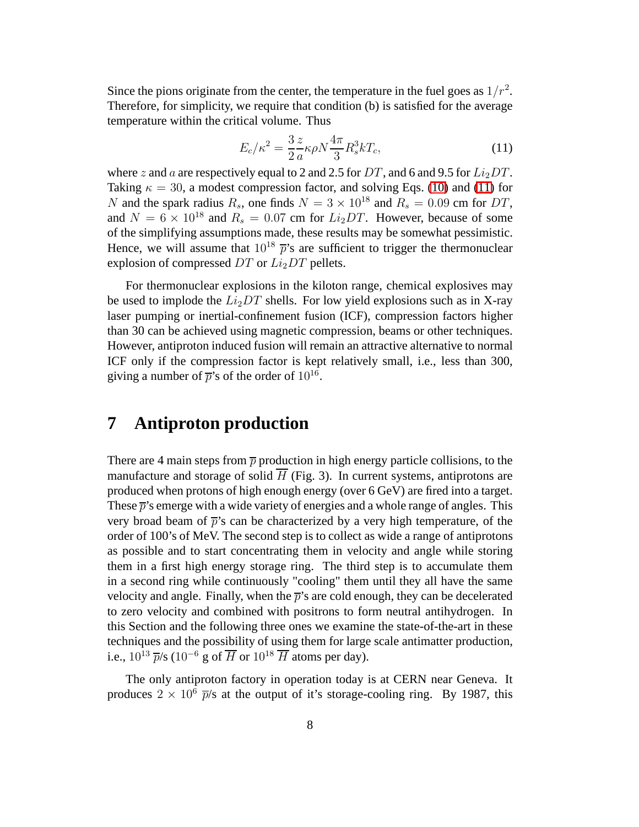Since the pions originate from the center, the temperature in the fuel goes as  $1/r^2$ . Therefore, for simplicity, we require that condition (b) is satisfied for the average temperature within the critical volume. Thus

<span id="page-7-0"></span>
$$
E_c/\kappa^2 = \frac{3}{2} \frac{z}{a} \kappa \rho N \frac{4\pi}{3} R_s^3 k T_c,
$$
\n(11)

where z and a are respectively equal to 2 and 2.5 for DT, and 6 and 9.5 for  $Li_2DT$ . Taking  $\kappa = 30$ , a modest compression factor, and solving Eqs. [\(10\)](#page-5-1) and [\(11\)](#page-7-0) for N and the spark radius  $R_s$ , one finds  $N = 3 \times 10^{18}$  and  $R_s = 0.09$  cm for DT, and  $N = 6 \times 10^{18}$  and  $R_s = 0.07$  cm for  $Li_2DT$ . However, because of some of the simplifying assumptions made, these results may be somewhat pessimistic. Hence, we will assume that  $10^{18} \bar{p}'s$  are sufficient to trigger the thermonuclear explosion of compressed  $DT$  or  $Li<sub>2</sub>DT$  pellets.

For thermonuclear explosions in the kiloton range, chemical explosives may be used to implode the  $Li<sub>2</sub>DT$  shells. For low yield explosions such as in X-ray laser pumping or inertial-confinement fusion (ICF), compression factors higher than 30 can be achieved using magnetic compression, beams or other techniques. However, antiproton induced fusion will remain an attractive alternative to normal ICF only if the compression factor is kept relatively small, i.e., less than 300, giving a number of  $\bar{p}$ 's of the order of  $10^{16}$ .

### **7 Antiproton production**

There are 4 main steps from  $\bar{p}$  production in high energy particle collisions, to the manufacture and storage of solid  $H$  (Fig. 3). In current systems, antiprotons are produced when protons of high enough energy (over 6 GeV) are fired into a target. These  $\bar{p}$ 's emerge with a wide variety of energies and a whole range of angles. This very broad beam of  $\bar{p}$ 's can be characterized by a very high temperature, of the order of 100's of MeV. The second step is to collect as wide a range of antiprotons as possible and to start concentrating them in velocity and angle while storing them in a first high energy storage ring. The third step is to accumulate them in a second ring while continuously "cooling" them until they all have the same velocity and angle. Finally, when the  $\bar{p}$ 's are cold enough, they can be decelerated to zero velocity and combined with positrons to form neutral antihydrogen. In this Section and the following three ones we examine the state-of-the-art in these techniques and the possibility of using them for large scale antimatter production, i.e.,  $10^{13}$   $\overline{p}/s$  ( $10^{-6}$  g of  $\overline{H}$  or  $10^{18}$   $\overline{H}$  atoms per day).

The only antiproton factory in operation today is at CERN near Geneva. It produces  $2 \times 10^6$   $\overline{p}/s$  at the output of it's storage-cooling ring. By 1987, this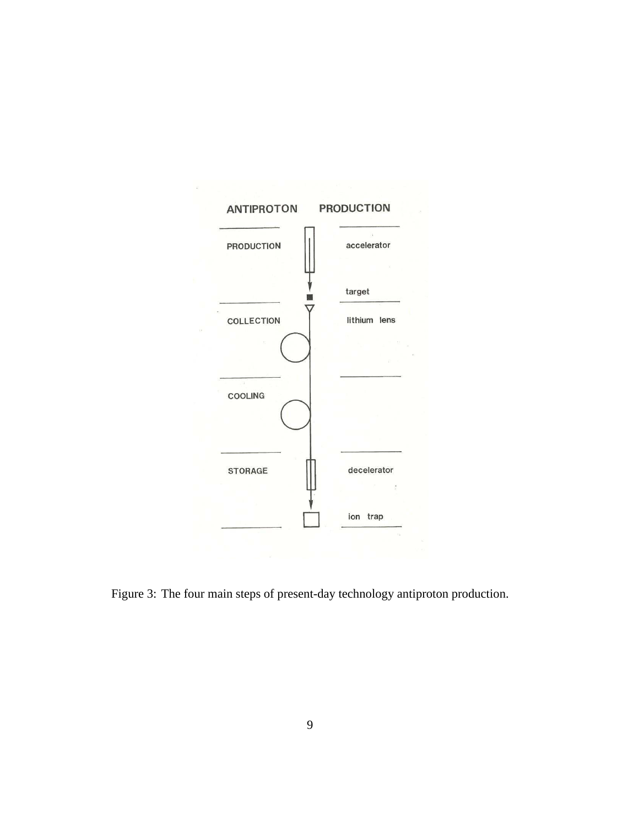

Figure 3: The four main steps of present-day technology antiproton production.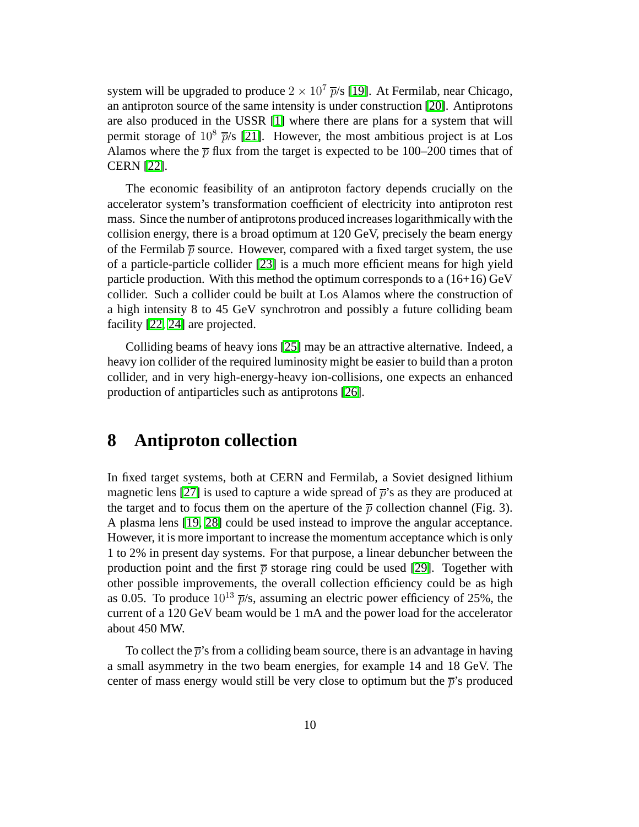system will be upgraded to produce  $2 \times 10^7$   $\overline{p}/s$  [\[19\]](#page-17-9). At Fermilab, near Chicago, an antiproton source of the same intensity is under construction [\[20\]](#page-17-10). Antiprotons are also produced in the USSR [\[1\]](#page-16-0) where there are plans for a system that will permit storage of  $10^8$   $\overline{p}/s$  [\[21\]](#page-17-11). However, the most ambitious project is at Los Alamos where the  $\bar{p}$  flux from the target is expected to be 100–200 times that of CERN [\[22\]](#page-18-0).

The economic feasibility of an antiproton factory depends crucially on the accelerator system's transformation coefficient of electricity into antiproton rest mass. Since the number of antiprotons produced increases logarithmically with the collision energy, there is a broad optimum at 120 GeV, precisely the beam energy of the Fermilab  $\bar{p}$  source. However, compared with a fixed target system, the use of a particle-particle collider [\[23\]](#page-18-1) is a much more efficient means for high yield particle production. With this method the optimum corresponds to a  $(16+16)$  GeV collider. Such a collider could be built at Los Alamos where the construction of a high intensity 8 to 45 GeV synchrotron and possibly a future colliding beam facility [\[22,](#page-18-0) [24\]](#page-18-2) are projected.

Colliding beams of heavy ions [\[25\]](#page-18-3) may be an attractive alternative. Indeed, a heavy ion collider of the required luminosity might be easier to build than a proton collider, and in very high-energy-heavy ion-collisions, one expects an enhanced production of antiparticles such as antiprotons [\[26\]](#page-18-4).

### **8 Antiproton collection**

In fixed target systems, both at CERN and Fermilab, a Soviet designed lithium magnetic lens [\[27\]](#page-18-5) is used to capture a wide spread of  $\bar{p}$ 's as they are produced at the target and to focus them on the aperture of the  $\bar{p}$  collection channel (Fig. 3). A plasma lens [\[19,](#page-17-9) [28\]](#page-18-6) could be used instead to improve the angular acceptance. However, it is more important to increase the momentum acceptance which is only 1 to 2% in present day systems. For that purpose, a linear debuncher between the production point and the first  $\bar{p}$  storage ring could be used [\[29\]](#page-18-7). Together with other possible improvements, the overall collection efficiency could be as high as 0.05. To produce  $10^{13}$   $\overline{p}/s$ , assuming an electric power efficiency of 25%, the current of a 120 GeV beam would be 1 mA and the power load for the accelerator about 450 MW.

To collect the  $\bar{p}$ 's from a colliding beam source, there is an advantage in having a small asymmetry in the two beam energies, for example 14 and 18 GeV. The center of mass energy would still be very close to optimum but the  $\bar{p}$ 's produced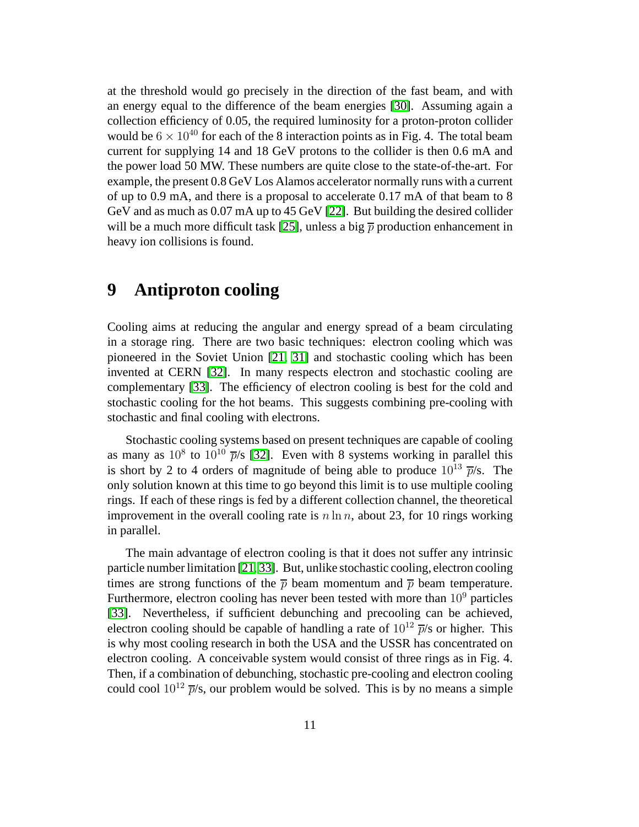at the threshold would go precisely in the direction of the fast beam, and with an energy equal to the difference of the beam energies [\[30\]](#page-18-8). Assuming again a collection efficiency of 0.05, the required luminosity for a proton-proton collider would be  $6 \times 10^{40}$  for each of the 8 interaction points as in Fig. 4. The total beam current for supplying 14 and 18 GeV protons to the collider is then 0.6 mA and the power load 50 MW. These numbers are quite close to the state-of-the-art. For example, the present 0.8 GeV Los Alamos accelerator normally runs with a current of up to 0.9 mA, and there is a proposal to accelerate 0.17 mA of that beam to 8 GeV and as much as 0.07 mA up to 45 GeV [\[22\]](#page-18-0). But building the desired collider will be a much more difficult task [\[25\]](#page-18-3), unless a big  $\bar{p}$  production enhancement in heavy ion collisions is found.

# **9 Antiproton cooling**

Cooling aims at reducing the angular and energy spread of a beam circulating in a storage ring. There are two basic techniques: electron cooling which was pioneered in the Soviet Union [\[21,](#page-17-11) [31\]](#page-18-9) and stochastic cooling which has been invented at CERN [\[32\]](#page-18-10). In many respects electron and stochastic cooling are complementary [\[33\]](#page-19-0). The efficiency of electron cooling is best for the cold and stochastic cooling for the hot beams. This suggests combining pre-cooling with stochastic and final cooling with electrons.

Stochastic cooling systems based on present techniques are capable of cooling as many as  $10^8$  to  $10^{10}$   $\overline{p}/s$  [\[32\]](#page-18-10). Even with 8 systems working in parallel this is short by 2 to 4 orders of magnitude of being able to produce  $10^{13}$   $\overline{p}/s$ . The only solution known at this time to go beyond this limit is to use multiple cooling rings. If each of these rings is fed by a different collection channel, the theoretical improvement in the overall cooling rate is  $n \ln n$ , about 23, for 10 rings working in parallel.

The main advantage of electron cooling is that it does not suffer any intrinsic particle number limitation [\[21,](#page-17-11) [33\]](#page-19-0). But, unlike stochastic cooling, electron cooling times are strong functions of the  $\bar{p}$  beam momentum and  $\bar{p}$  beam temperature. Furthermore, electron cooling has never been tested with more than  $10<sup>9</sup>$  particles [\[33\]](#page-19-0). Nevertheless, if sufficient debunching and precooling can be achieved, electron cooling should be capable of handling a rate of  $10^{12}$   $\overline{p}/s$  or higher. This is why most cooling research in both the USA and the USSR has concentrated on electron cooling. A conceivable system would consist of three rings as in Fig. 4. Then, if a combination of debunching, stochastic pre-cooling and electron cooling could cool  $10^{12}$   $\overline{p}/s$ , our problem would be solved. This is by no means a simple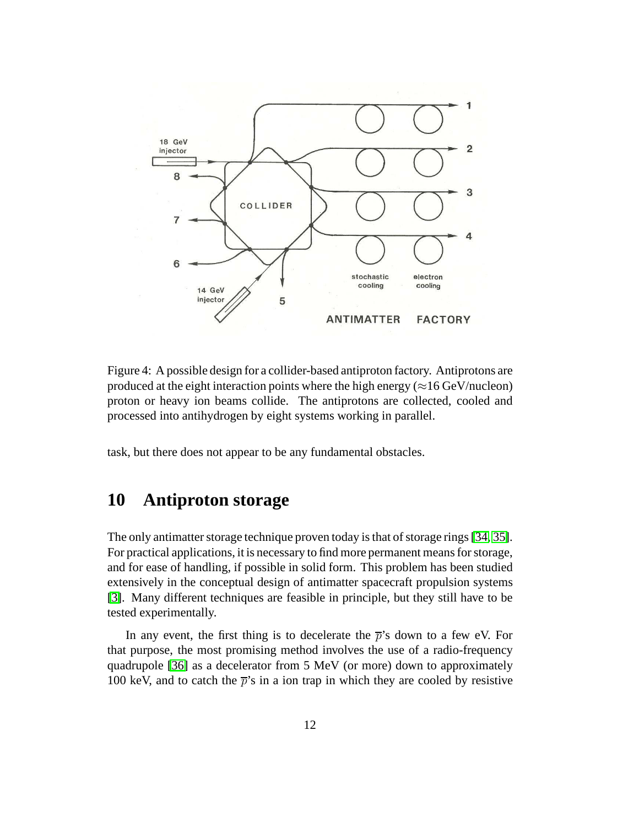

Figure 4: A possible design for a collider-based antiproton factory. Antiprotons are produced at the eight interaction points where the high energy ( $\approx$ 16 GeV/nucleon) proton or heavy ion beams collide. The antiprotons are collected, cooled and processed into antihydrogen by eight systems working in parallel.

task, but there does not appear to be any fundamental obstacles.

### **10 Antiproton storage**

The only antimatter storage technique proven today is that of storage rings [\[34,](#page-19-1) [35\]](#page-19-2). For practical applications, it is necessary to find more permanent means for storage, and for ease of handling, if possible in solid form. This problem has been studied extensively in the conceptual design of antimatter spacecraft propulsion systems [\[3\]](#page-16-2). Many different techniques are feasible in principle, but they still have to be tested experimentally.

In any event, the first thing is to decelerate the  $\bar{p}$ 's down to a few eV. For that purpose, the most promising method involves the use of a radio-frequency quadrupole [\[36\]](#page-19-3) as a decelerator from 5 MeV (or more) down to approximately 100 keV, and to catch the  $\bar{p}$ 's in a ion trap in which they are cooled by resistive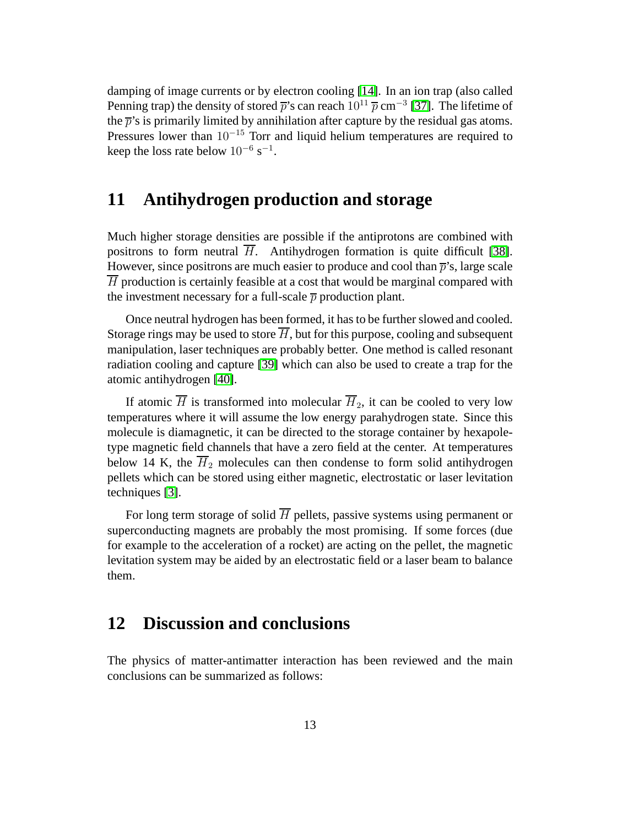damping of image currents or by electron cooling [\[14\]](#page-17-4). In an ion trap (also called Penning trap) the density of stored  $\bar{p}$ 's can reach  $10^{11} \bar{p}$  cm<sup>-3</sup> [\[37\]](#page-19-4). The lifetime of the  $\bar{p}$ 's is primarily limited by annihilation after capture by the residual gas atoms. Pressures lower than  $10^{-15}$  Torr and liquid helium temperatures are required to keep the loss rate below  $10^{-6}$  s<sup>-1</sup>.

### **11 Antihydrogen production and storage**

Much higher storage densities are possible if the antiprotons are combined with positrons to form neutral H. Antihydrogen formation is quite difficult [\[38\]](#page-19-5). However, since positrons are much easier to produce and cool than  $\bar{p}$ 's, large scale  $\overline{H}$  production is certainly feasible at a cost that would be marginal compared with the investment necessary for a full-scale  $\bar{p}$  production plant.

Once neutral hydrogen has been formed, it has to be further slowed and cooled. Storage rings may be used to store  $\overline{H}$ , but for this purpose, cooling and subsequent manipulation, laser techniques are probably better. One method is called resonant radiation cooling and capture [\[39\]](#page-19-6) which can also be used to create a trap for the atomic antihydrogen [\[40\]](#page-19-7).

If atomic  $\overline{H}$  is transformed into molecular  $\overline{H}_2$ , it can be cooled to very low temperatures where it will assume the low energy parahydrogen state. Since this molecule is diamagnetic, it can be directed to the storage container by hexapoletype magnetic field channels that have a zero field at the center. At temperatures below 14 K, the  $H_2$  molecules can then condense to form solid antihydrogen pellets which can be stored using either magnetic, electrostatic or laser levitation techniques [\[3\]](#page-16-2).

For long term storage of solid  $\overline{H}$  pellets, passive systems using permanent or superconducting magnets are probably the most promising. If some forces (due for example to the acceleration of a rocket) are acting on the pellet, the magnetic levitation system may be aided by an electrostatic field or a laser beam to balance them.

# **12 Discussion and conclusions**

The physics of matter-antimatter interaction has been reviewed and the main conclusions can be summarized as follows: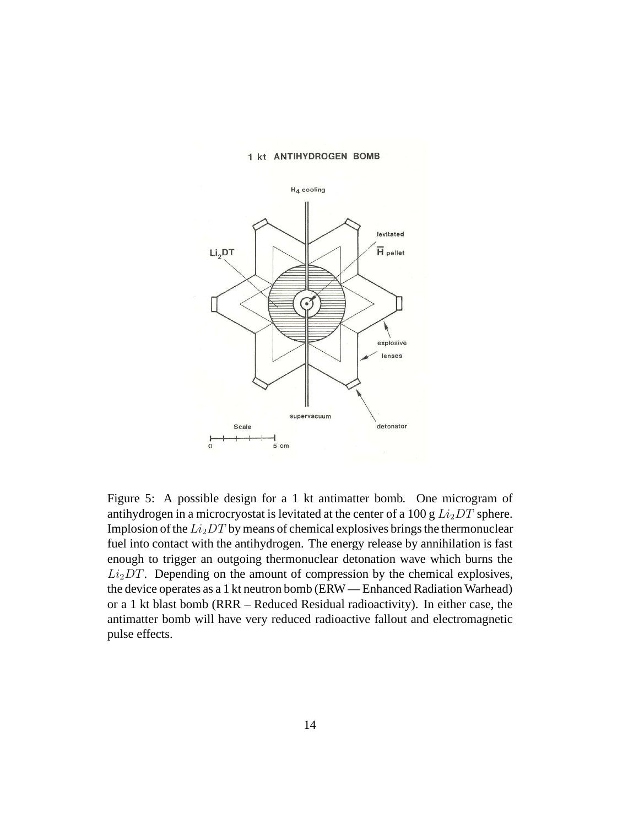

#### 1 kt ANTIHYDROGEN BOMB

Figure 5: A possible design for a 1 kt antimatter bomb. One microgram of antihydrogen in a microcryostat is levitated at the center of a 100 g  $Li<sub>2</sub>DT$  sphere. Implosion of the  $Li_2DT$  by means of chemical explosives brings the thermonuclear fuel into contact with the antihydrogen. The energy release by annihilation is fast enough to trigger an outgoing thermonuclear detonation wave which burns the  $Li<sub>2</sub>DT$ . Depending on the amount of compression by the chemical explosives, the device operates as a 1 kt neutron bomb (ERW — Enhanced Radiation Warhead) or a 1 kt blast bomb (RRR – Reduced Residual radioactivity). In either case, the antimatter bomb will have very reduced radioactive fallout and electromagnetic pulse effects.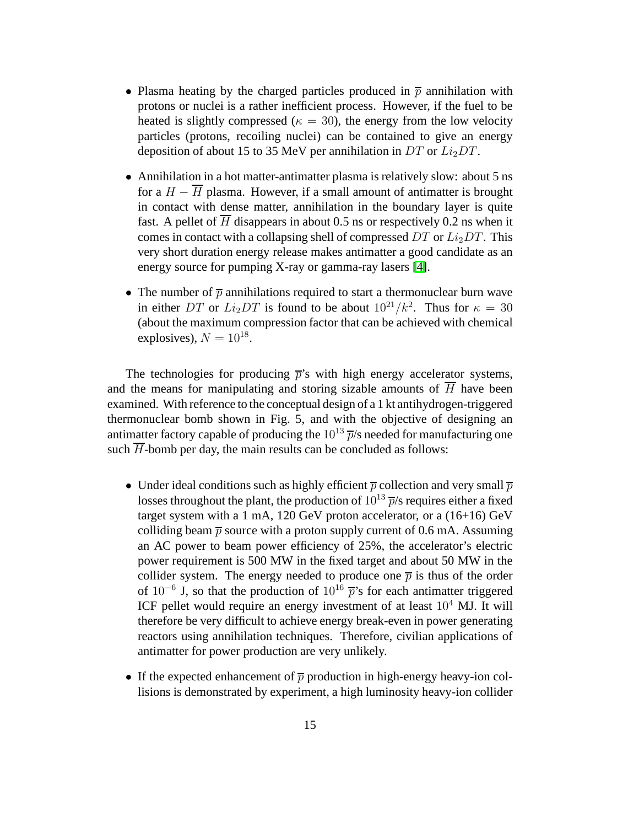- Plasma heating by the charged particles produced in  $\bar{p}$  annihilation with protons or nuclei is a rather inefficient process. However, if the fuel to be heated is slightly compressed ( $\kappa = 30$ ), the energy from the low velocity particles (protons, recoiling nuclei) can be contained to give an energy deposition of about 15 to 35 MeV per annihilation in DT or  $Li<sub>2</sub>DT$ .
- Annihilation in a hot matter-antimatter plasma is relatively slow: about 5 ns for a  $H - \overline{H}$  plasma. However, if a small amount of antimatter is brought in contact with dense matter, annihilation in the boundary layer is quite fast. A pellet of  $\overline{H}$  disappears in about 0.5 ns or respectively 0.2 ns when it comes in contact with a collapsing shell of compressed  $DT$  or  $Li<sub>2</sub>DT$ . This very short duration energy release makes antimatter a good candidate as an energy source for pumping X-ray or gamma-ray lasers [\[4\]](#page-16-3).
- The number of  $\bar{p}$  annihilations required to start a thermonuclear burn wave in either DT or  $Li_2DT$  is found to be about  $10^{21}/k^2$ . Thus for  $\kappa = 30$ (about the maximum compression factor that can be achieved with chemical explosives),  $N = 10^{18}$ .

The technologies for producing  $\bar{p}$ 's with high energy accelerator systems, and the means for manipulating and storing sizable amounts of  $\overline{H}$  have been examined. With reference to the conceptual design of a 1 kt antihydrogen-triggered thermonuclear bomb shown in Fig. 5, and with the objective of designing an antimatter factory capable of producing the  $10^{13}$   $\overline{p}/s$  needed for manufacturing one such  $\overline{H}$ -bomb per day, the main results can be concluded as follows:

- Under ideal conditions such as highly efficient  $\bar{p}$  collection and very small  $\bar{p}$ losses throughout the plant, the production of  $10^{13}$   $\overline{p}/s$  requires either a fixed target system with a 1 mA, 120 GeV proton accelerator, or a (16+16) GeV colliding beam  $\bar{p}$  source with a proton supply current of 0.6 mA. Assuming an AC power to beam power efficiency of 25%, the accelerator's electric power requirement is 500 MW in the fixed target and about 50 MW in the collider system. The energy needed to produce one  $\bar{p}$  is thus of the order of  $10^{-6}$  J, so that the production of  $10^{16}$   $\bar{p}$ 's for each antimatter triggered ICF pellet would require an energy investment of at least  $10^4$  MJ. It will therefore be very difficult to achieve energy break-even in power generating reactors using annihilation techniques. Therefore, civilian applications of antimatter for power production are very unlikely.
- If the expected enhancement of  $\overline{p}$  production in high-energy heavy-ion collisions is demonstrated by experiment, a high luminosity heavy-ion collider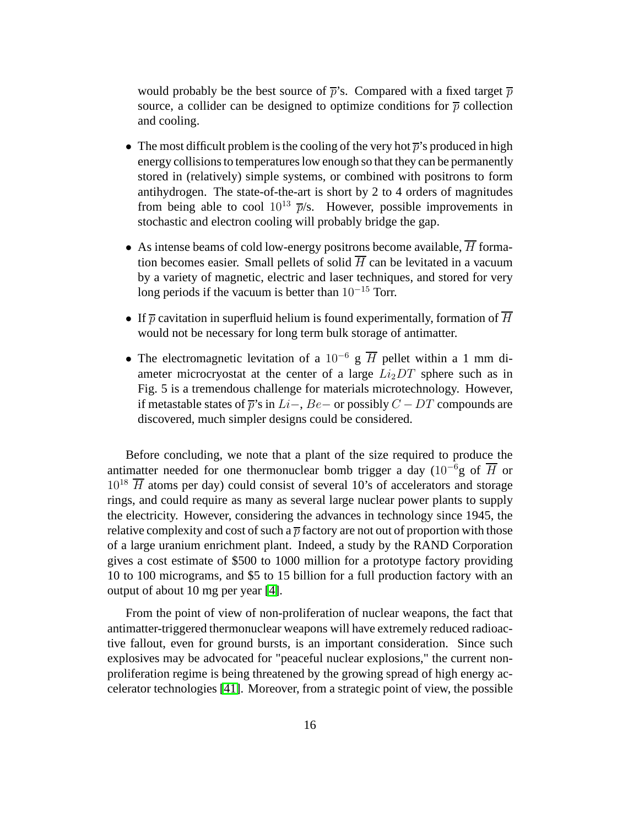would probably be the best source of  $\bar{p}$ 's. Compared with a fixed target  $\bar{p}$ source, a collider can be designed to optimize conditions for  $\bar{p}$  collection and cooling.

- The most difficult problem is the cooling of the very hot  $\bar{p}$ 's produced in high energy collisions to temperatures low enough so that they can be permanently stored in (relatively) simple systems, or combined with positrons to form antihydrogen. The state-of-the-art is short by 2 to 4 orders of magnitudes from being able to cool  $10^{13}$   $\overline{p}/s$ . However, possible improvements in stochastic and electron cooling will probably bridge the gap.
- As intense beams of cold low-energy positrons become available,  $\overline{H}$  formation becomes easier. Small pellets of solid  $\overline{H}$  can be levitated in a vacuum by a variety of magnetic, electric and laser techniques, and stored for very long periods if the vacuum is better than 10<sup>−</sup><sup>15</sup> Torr.
- If  $\bar{p}$  cavitation in superfluid helium is found experimentally, formation of  $\bar{H}$ would not be necessary for long term bulk storage of antimatter.
- The electromagnetic levitation of a 10<sup>-6</sup> g  $\overline{H}$  pellet within a 1 mm diameter microcryostat at the center of a large  $Li<sub>2</sub>DT$  sphere such as in Fig. 5 is a tremendous challenge for materials microtechnology. However, if metastable states of  $\bar{p}$ 's in Li−, Be− or possibly  $C$  − DT compounds are discovered, much simpler designs could be considered.

Before concluding, we note that a plant of the size required to produce the antimatter needed for one thermonuclear bomb trigger a day (10<sup>-6</sup>g of  $\overline{H}$  or  $10^{18}$   $\overline{H}$  atoms per day) could consist of several 10's of accelerators and storage rings, and could require as many as several large nuclear power plants to supply the electricity. However, considering the advances in technology since 1945, the relative complexity and cost of such a  $\bar{p}$  factory are not out of proportion with those of a large uranium enrichment plant. Indeed, a study by the RAND Corporation gives a cost estimate of \$500 to 1000 million for a prototype factory providing 10 to 100 micrograms, and \$5 to 15 billion for a full production factory with an output of about 10 mg per year [\[4\]](#page-16-3).

From the point of view of non-proliferation of nuclear weapons, the fact that antimatter-triggered thermonuclear weapons will have extremely reduced radioactive fallout, even for ground bursts, is an important consideration. Since such explosives may be advocated for "peaceful nuclear explosions," the current nonproliferation regime is being threatened by the growing spread of high energy accelerator technologies [\[41\]](#page-19-8). Moreover, from a strategic point of view, the possible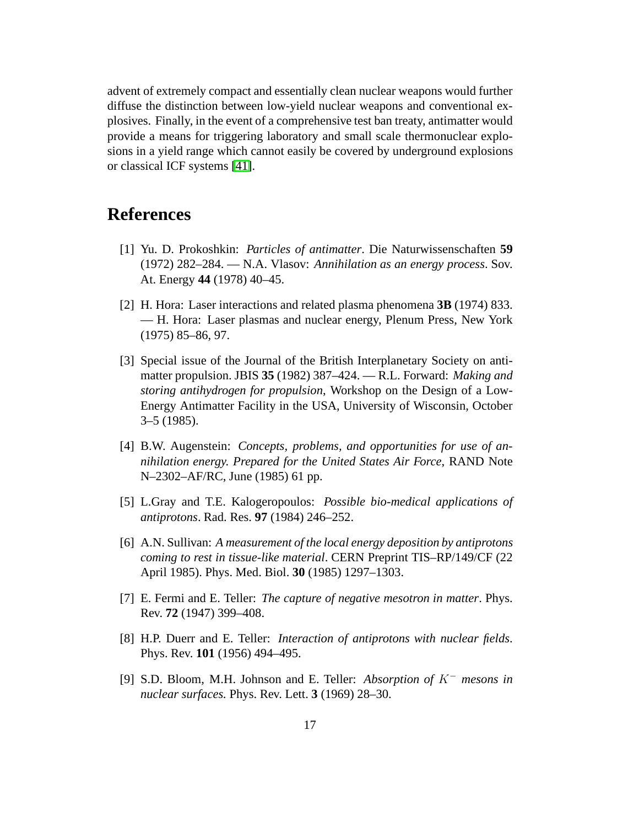advent of extremely compact and essentially clean nuclear weapons would further diffuse the distinction between low-yield nuclear weapons and conventional explosives. Finally, in the event of a comprehensive test ban treaty, antimatter would provide a means for triggering laboratory and small scale thermonuclear explosions in a yield range which cannot easily be covered by underground explosions or classical ICF systems [\[41\]](#page-19-8).

# <span id="page-16-0"></span>**References**

- [1] Yu. D. Prokoshkin: *Particles of antimatter*. Die Naturwissenschaften **59** (1972) 282–284. — N.A. Vlasov: *Annihilation as an energy process*. Sov. At. Energy **44** (1978) 40–45.
- <span id="page-16-1"></span>[2] H. Hora: Laser interactions and related plasma phenomena **3B** (1974) 833. — H. Hora: Laser plasmas and nuclear energy, Plenum Press, New York (1975) 85–86, 97.
- <span id="page-16-2"></span>[3] Special issue of the Journal of the British Interplanetary Society on antimatter propulsion. JBIS **35** (1982) 387–424. — R.L. Forward: *Making and storing antihydrogen for propulsion*, Workshop on the Design of a Low-Energy Antimatter Facility in the USA, University of Wisconsin, October 3–5 (1985).
- <span id="page-16-3"></span>[4] B.W. Augenstein: *Concepts, problems, and opportunities for use of annihilation energy. Prepared for the United States Air Force*, RAND Note N–2302–AF/RC, June (1985) 61 pp.
- <span id="page-16-5"></span><span id="page-16-4"></span>[5] L.Gray and T.E. Kalogeropoulos: *Possible bio-medical applications of antiprotons*. Rad. Res. **97** (1984) 246–252.
- [6] A.N. Sullivan: *A measurement of the local energy deposition by antiprotons coming to rest in tissue-like material*. CERN Preprint TIS–RP/149/CF (22 April 1985). Phys. Med. Biol. **30** (1985) 1297–1303.
- <span id="page-16-7"></span><span id="page-16-6"></span>[7] E. Fermi and E. Teller: *The capture of negative mesotron in matter*. Phys. Rev. **72** (1947) 399–408.
- [8] H.P. Duerr and E. Teller: *Interaction of antiprotons with nuclear fields*. Phys. Rev. **101** (1956) 494–495.
- <span id="page-16-8"></span>[9] S.D. Bloom, M.H. Johnson and E. Teller: *Absorption of* K<sup>−</sup> *mesons in nuclear surfaces.* Phys. Rev. Lett. **3** (1969) 28–30.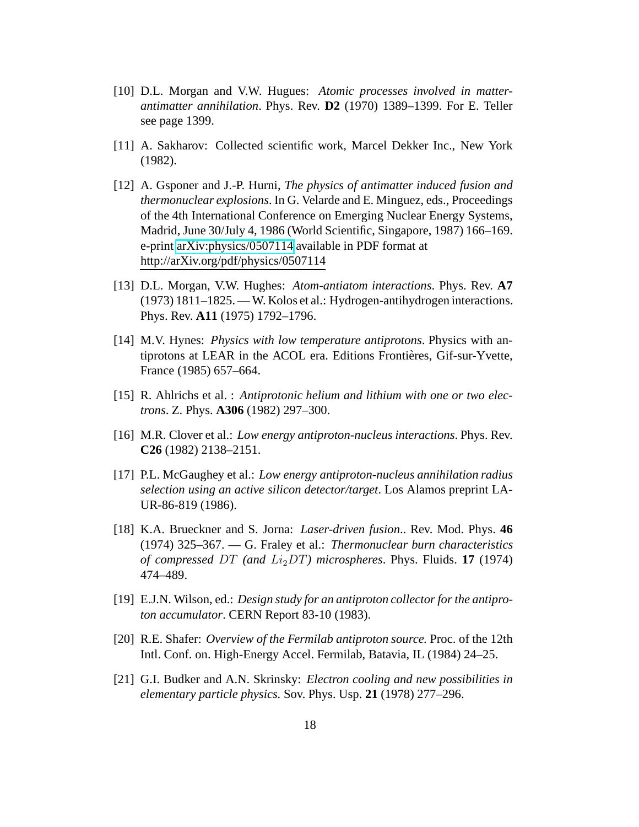- <span id="page-17-0"></span>[10] D.L. Morgan and V.W. Hugues: *Atomic processes involved in matterantimatter annihilation*. Phys. Rev. **D2** (1970) 1389–1399. For E. Teller see page 1399.
- <span id="page-17-2"></span><span id="page-17-1"></span>[11] A. Sakharov: Collected scientific work, Marcel Dekker Inc., New York (1982).
- [12] A. Gsponer and J.-P. Hurni, *The physics of antimatter induced fusion and thermonuclear explosions*. In G. Velarde and E. Minguez, eds., Proceedings of the 4th International Conference on Emerging Nuclear Energy Systems, Madrid, June 30/July 4, 1986 (World Scientific, Singapore, 1987) 166–169. e-print [arXiv:physics/0507114](http://arXiv.org/abs/physics/0507114) available in PDF format at http://arXiv.org/pdf/physics/0507114
- <span id="page-17-3"></span>[13] D.L. Morgan, V.W. Hughes: *Atom-antiatom interactions*. Phys. Rev. **A7** (1973) 1811–1825. — W. Kolos et al.: Hydrogen-antihydrogen interactions. Phys. Rev. **A11** (1975) 1792–1796.
- <span id="page-17-4"></span>[14] M.V. Hynes: *Physics with low temperature antiprotons*. Physics with antiprotons at LEAR in the ACOL era. Editions Frontières, Gif-sur-Yvette, France (1985) 657–664.
- <span id="page-17-6"></span><span id="page-17-5"></span>[15] R. Ahlrichs et al. : *Antiprotonic helium and lithium with one or two electrons*. Z. Phys. **A306** (1982) 297–300.
- <span id="page-17-7"></span>[16] M.R. Clover et al.: *Low energy antiproton-nucleus interactions*. Phys. Rev. **C26** (1982) 2138–2151.
- [17] P.L. McGaughey et al.: *Low energy antiproton-nucleus annihilation radius selection using an active silicon detector/target*. Los Alamos preprint LA-UR-86-819 (1986).
- <span id="page-17-8"></span>[18] K.A. Brueckner and S. Jorna: *Laser-driven fusion*.. Rev. Mod. Phys. **46** (1974) 325–367. — G. Fraley et al.: *Thermonuclear burn characteristics of compressed DT (and*  $Li<sub>2</sub>DT$ *) microspheres. Phys. Fluids.* **17** (1974) 474–489.
- <span id="page-17-10"></span><span id="page-17-9"></span>[19] E.J.N. Wilson, ed.: *Design study for an antiproton collector for the antiproton accumulator*. CERN Report 83-10 (1983).
- [20] R.E. Shafer: *Overview of the Fermilab antiproton source.* Proc. of the 12th Intl. Conf. on. High-Energy Accel. Fermilab, Batavia, IL (1984) 24–25.
- <span id="page-17-11"></span>[21] G.I. Budker and A.N. Skrinsky: *Electron cooling and new possibilities in elementary particle physics.* Sov. Phys. Usp. **21** (1978) 277–296.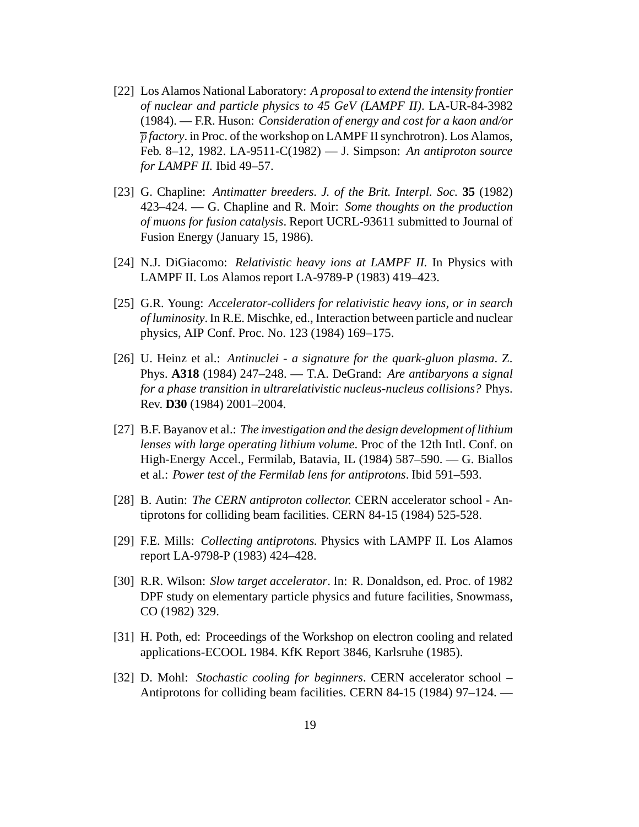- <span id="page-18-0"></span>[22] Los Alamos National Laboratory: *A proposal to extend the intensity frontier of nuclear and particle physics to 45 GeV (LAMPF II)*. LA-UR-84-3982 (1984). — F.R. Huson: *Consideration of energy and cost for a kaon and/or* p *factory*. in Proc. of the workshop on LAMPF II synchrotron). Los Alamos, Feb. 8–12, 1982. LA-9511-C(1982) — J. Simpson: *An antiproton source for LAMPF II.* Ibid 49–57.
- <span id="page-18-1"></span>[23] G. Chapline: *Antimatter breeders. J. of the Brit. Interpl. Soc.* **35** (1982) 423–424. — G. Chapline and R. Moir: *Some thoughts on the production of muons for fusion catalysis*. Report UCRL-93611 submitted to Journal of Fusion Energy (January 15, 1986).
- <span id="page-18-2"></span>[24] N.J. DiGiacomo: *Relativistic heavy ions at LAMPF II.* In Physics with LAMPF II. Los Alamos report LA-9789-P (1983) 419–423.
- <span id="page-18-3"></span>[25] G.R. Young: *Accelerator-colliders for relativistic heavy ions, or in search of luminosity*. In R.E. Mischke, ed., Interaction between particle and nuclear physics, AIP Conf. Proc. No. 123 (1984) 169–175.
- <span id="page-18-4"></span>[26] U. Heinz et al.: *Antinuclei - a signature for the quark-gluon plasma*. Z. Phys. **A318** (1984) 247–248. — T.A. DeGrand: *Are antibaryons a signal for a phase transition in ultrarelativistic nucleus-nucleus collisions?* Phys. Rev. **D30** (1984) 2001–2004.
- <span id="page-18-5"></span>[27] B.F. Bayanov et al.: *The investigation and the design development of lithium lenses with large operating lithium volume*. Proc of the 12th Intl. Conf. on High-Energy Accel., Fermilab, Batavia, IL (1984) 587–590. — G. Biallos et al.: *Power test of the Fermilab lens for antiprotons*. Ibid 591–593.
- <span id="page-18-7"></span><span id="page-18-6"></span>[28] B. Autin: *The CERN antiproton collector.* CERN accelerator school - Antiprotons for colliding beam facilities. CERN 84-15 (1984) 525-528.
- <span id="page-18-8"></span>[29] F.E. Mills: *Collecting antiprotons.* Physics with LAMPF II. Los Alamos report LA-9798-P (1983) 424–428.
- [30] R.R. Wilson: *Slow target accelerator*. In: R. Donaldson, ed. Proc. of 1982 DPF study on elementary particle physics and future facilities, Snowmass, CO (1982) 329.
- <span id="page-18-9"></span>[31] H. Poth, ed: Proceedings of the Workshop on electron cooling and related applications-ECOOL 1984. KfK Report 3846, Karlsruhe (1985).
- <span id="page-18-10"></span>[32] D. Mohl: *Stochastic cooling for beginners*. CERN accelerator school – Antiprotons for colliding beam facilities. CERN 84-15 (1984) 97–124. —